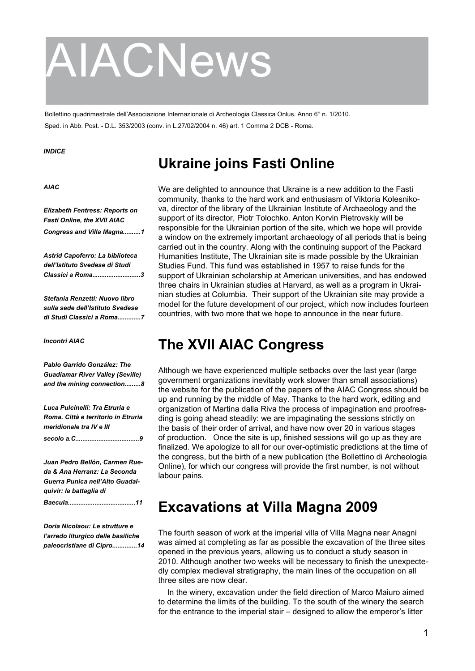# AIACNews

Bollettino quadrimestrale dell'Associazione Internazionale di Archeologia Classica Onlus. Anno 6° n. 1/2010. Sped. in Abb. Post. - D.L. 353/2003 (conv. in L.27/02/2004 n. 46) art. 1 Comma 2 DCB - Roma.

#### *INDICE*

## **Ukraine joins Fasti Online**

#### *AIAC*

*Elizabeth Fentress: Reports on Fasti Online, the XVII AIAC Congress and Villa Magna..........1*

*Astrid Capoferro: La biblioteca dell'Istituto Svedese di Studi Classici a Roma...........................3*

*Stefania Renzetti: Nuovo libro sulla sede dell'Istituto Svedese di Studi Classici a Roma.............7*

#### *Incontri AIAC*

*Pablo Garrido González: The Guadiamar River Valley (Seville) and the mining connection.........8*

*Luca Pulcinelli: Tra Etruria e Roma. Città e territorio in Etruria meridionale tra IV e III secolo a.C....................................9*

*Juan Pedro Bellón, Carmen Rueda & Ana Herranz: La Seconda Guerra Punica nell'Alto Guadalquivir: la battaglia di* 

*Baecula......................................11*

*Doria Nicolaou: Le strutture e l'arredo liturgico delle basiliche paleocristiane di Cipro..............14*

We are delighted to announce that Ukraine is a new addition to the Fasti community, thanks to the hard work and enthusiasm of Viktoria Kolesnikova, director of the library of the Ukrainian Institute of Archaeology and the support of its director, Piotr Tolochko. Anton Korvin Pietrovskiy will be responsible for the Ukrainian portion of the site, which we hope will provide a window on the extremely important archaeology of all periods that is being carried out in the country. Along with the continuing support of the Packard Humanities Institute, The Ukrainian site is made possible by the Ukrainian Studies Fund. This fund was established in 1957 to raise funds for the support of Ukrainian scholarship at American universities, and has endowed three chairs in Ukrainian studies at Harvard, as well as a program in Ukrainian studies at Columbia. Their support of the Ukrainian site may provide a model for the future development of our project, which now includes fourteen countries, with two more that we hope to announce in the near future.

## **The XVII AIAC Congress**

Although we have experienced multiple setbacks over the last year (large government organizations inevitably work slower than small associations) the website for the publication of the papers of the AIAC Congress should be up and running by the middle of May. Thanks to the hard work, editing and organization of Martina dalla Riva the process of impagination and proofreading is going ahead steadily: we are impaginating the sessions strictly on the basis of their order of arrival, and have now over 20 in various stages of production. Once the site is up, finished sessions will go up as they are finalized. We apologize to all for our over-optimistic predictions at the time of the congress, but the birth of a new publication (the Bollettino di Archeologia Online), for which our congress will provide the first number, is not without labour pains.

## **Excavations at Villa Magna 2009**

The fourth season of work at the imperial villa of Villa Magna near Anagni was aimed at completing as far as possible the excavation of the three sites opened in the previous years, allowing us to conduct a study season in 2010. Although another two weeks will be necessary to finish the unexpectedly complex medieval stratigraphy, the main lines of the occupation on all three sites are now clear.

In the winery, excavation under the field direction of Marco Maiuro aimed to determine the limits of the building. To the south of the winery the search for the entrance to the imperial stair – designed to allow the emperor's litter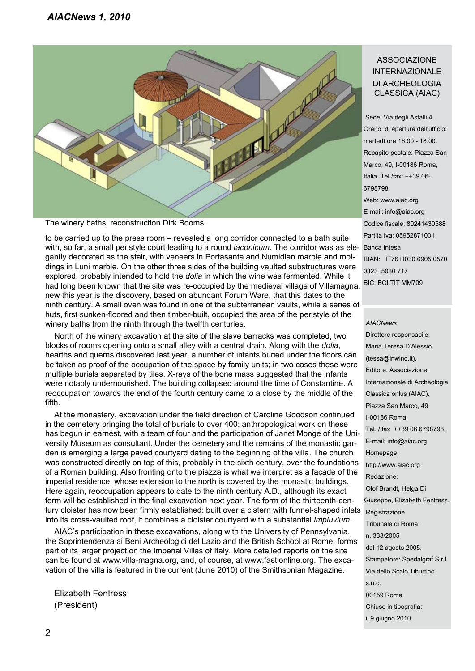

The winery baths; reconstruction Dirk Booms.

with, so far, a small peristyle court leading to a round *laconicum*. The corridor was as ele- Banca Intesa to be carried up to the press room – revealed a long corridor connected to a bath suite gantly decorated as the stair, with veneers in Portasanta and Numidian marble and moldings in Luni marble. On the other three sides of the building vaulted substructures were explored, probably intended to hold the *dolia* in which the wine was fermented. While it had long been known that the site was re-occupied by the medieval village of Villamagna, new this year is the discovery, based on abundant Forum Ware, that this dates to the ninth century. A small oven was found in one of the subterranean vaults, while a series of huts, first sunken-floored and then timber-built, occupied the area of the peristyle of the winery baths from the ninth through the twelfth centuries.

North of the winery excavation at the site of the slave barracks was completed, two blocks of rooms opening onto a small alley with a central drain. Along with the *dolia*, hearths and querns discovered last year, a number of infants buried under the floors can be taken as proof of the occupation of the space by family units; in two cases these were multiple burials separated by tiles. X-rays of the bone mass suggested that the infants were notably undernourished. The building collapsed around the time of Constantine. A reoccupation towards the end of the fourth century came to a close by the middle of the fifth.

At the monastery, excavation under the field direction of Caroline Goodson continued in the cemetery bringing the total of burials to over 400: anthropological work on these has begun in earnest, with a team of four and the participation of Janet Monge of the University Museum as consultant. Under the cemetery and the remains of the monastic garden is emerging a large paved courtyard dating to the beginning of the villa. The church was constructed directly on top of this, probably in the sixth century, over the foundations of a Roman building. Also fronting onto the piazza is what we interpret as a façade of the imperial residence, whose extension to the north is covered by the monastic buildings. Here again, reoccupation appears to date to the ninth century A.D., although its exact form will be established in the final excavation next year. The form of the thirteenth-century cloister has now been firmly established: built over a cistern with funnel-shaped inlets into its cross-vaulted roof, it combines a cloister courtyard with a substantial *impluvium*.

AIAC's participation in these excavations, along with the University of Pennsylvania, the Soprintendenza ai Beni Archeologici del Lazio and the British School at Rome, forms part of its larger project on the Imperial Villas of Italy. More detailed reports on the site can be found at www.villa-magna.org, and, of course, at www.fastionline.org. The excavation of the villa is featured in the current (June 2010) of the Smithsonian Magazine.

Elizabeth Fentress (President)

#### ASSOCIAZIONE INTERNAZIONALE DI ARCHEOLOGIA CLASSICA (AIAC)

 Sede: Via degli Astalli 4. Orario di apertura dell'ufficio: martedì ore 16.00 - 18.00. Recapito postale: Piazza San Marco, 49, I-00186 Roma, Italia. Tel./fax: ++39 06- 6798798 Web: www.aiac.org E-mail: info@aiac.org Codice fiscale: 80241430588 Partita Iva: 05952871001 IBAN: IT76 H030 6905 0570 0323 5030 717 BIC: BCI TIT MM709

#### *AIACNews*

 Direttore responsabile: Maria Teresa D'Alessio (tessa@inwind.it). Editore: Associazione Internazionale di Archeologia Classica onlus (AIAC). Piazza San Marco, 49 I-00186 Roma. Tel. / fax ++39 06 6798798. E-mail: info@aiac.org Homepage: http://www.aiac.org Redazione: Olof Brandt, Helga Di Giuseppe, Elizabeth Fentress. Registrazione Tribunale di Roma: n. 333/2005 del 12 agosto 2005. Stampatore: Spedalgraf S.r.l. Via dello Scalo Tiburtino s.n.c. 00159 Roma Chiuso in tipografia: il 9 giugno 2010.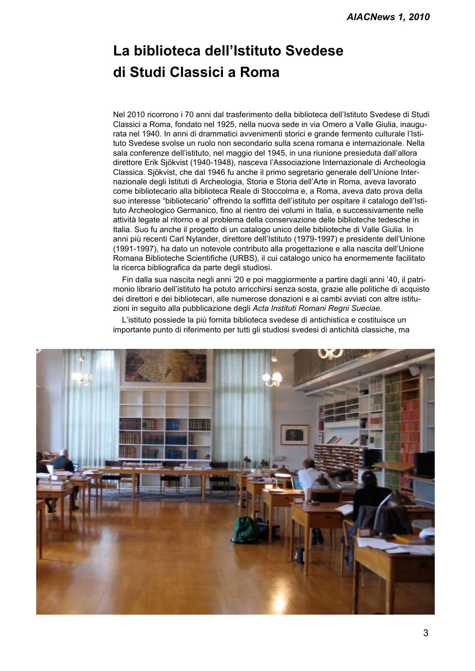# **La biblioteca dell'Istituto Svedese di Studi Classici a Roma**

Nel 2010 ricorrono i 70 anni dal trasferimento della biblioteca dell'Istituto Svedese di Studi Classici a Roma, fondato nel 1925, nella nuova sede in via Omero a Valle Giulia, inaugurata nel 1940. In anni di drammatici avvenimenti storici e grande fermento culturale l'Istituto Svedese svolse un ruolo non secondario sulla scena romana e internazionale. Nella sala conferenze dell'istituto, nel maggio del 1945, in una riunione presieduta dall'allora direttore Erik Sjökvist (1940-1948), nasceva l'Associazione Internazionale di Archeologia Classica. Sjökvist, che dal 1946 fu anche il primo segretario generale dell'Unione Internazionale degli Istituti di Archeologia, Storia e Storia dell'Arte in Roma, aveva lavorato come bibliotecario alla biblioteca Reale di Stoccolma e, a Roma, aveva dato prova della suo interesse "bibliotecario" offrendo la soffitta dell'istituto per ospitare il catalogo dell'Istituto Archeologico Germanico, fino al rientro dei volumi in Italia, e successivamente nelle attività legate al ritorno e al problema della conservazione delle biblioteche tedesche in Italia. Suo fu anche il progetto di un catalogo unico delle biblioteche di Valle Giulia. In anni più recenti Carl Nylander, direttore dell'Istituto (1979-1997) e presidente dell'Unione (1991-1997), ha dato un notevole contributo alla progettazione e alla nascita dell'Unione Romana Biblioteche Scientifiche (URBS), il cui catalogo unico ha enormemente facilitato la ricerca bibliografica da parte degli studiosi.

Fin dalla sua nascita negli anni '20 e poi maggiormente a partire dagli anni '40, il patrimonio librario dell'istituto ha potuto arricchirsi senza sosta, grazie alle politiche di acquisto dei direttori e dei bibliotecari, alle numerose donazioni e ai cambi avviati con altre istituzioni in seguito alla pubblicazione degli *Acta Instituti Romani Regni Sueciae.*

L'istituto possiede la più fornita biblioteca svedese di antichistica e costituisce un importante punto di riferimento per tutti gli studiosi svedesi di antichità classiche, ma

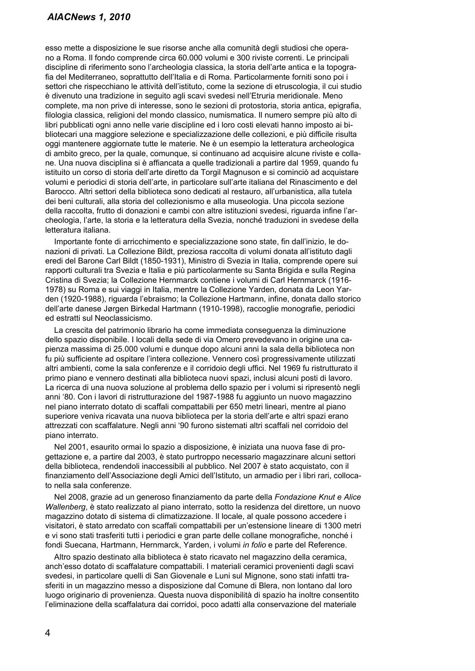#### *AIACNews 1, 2010*

esso mette a disposizione le sue risorse anche alla comunità degli studiosi che operano a Roma. Il fondo comprende circa 60.000 volumi e 300 riviste correnti. Le principali discipline di riferimento sono l'archeologia classica, la storia dell'arte antica e la topografia del Mediterraneo, soprattutto dell'Italia e di Roma. Particolarmente forniti sono poi i settori che rispecchiano le attività dell'istituto, come la sezione di etruscologia, il cui studio è divenuto una tradizione in seguito agli scavi svedesi nell'Etruria meridionale. Meno complete, ma non prive di interesse, sono le sezioni di protostoria, storia antica, epigrafia, filologia classica, religioni del mondo classico, numismatica. Il numero sempre più alto di libri pubblicati ogni anno nelle varie discipline ed i loro costi elevati hanno imposto ai bibliotecari una maggiore selezione e specializzazione delle collezioni, e più difficile risulta oggi mantenere aggiornate tutte le materie. Ne è un esempio la letteratura archeologica di ambito greco, per la quale, comunque, si continuano ad acquisire alcune riviste e collane. Una nuova disciplina si è affiancata a quelle tradizionali a partire dal 1959, quando fu istituito un corso di storia dell'arte diretto da Torgil Magnuson e si cominciò ad acquistare volumi e periodici di storia dell'arte, in particolare sull'arte italiana del Rinascimento e del Barocco. Altri settori della biblioteca sono dedicati al restauro, all'urbanistica, alla tutela dei beni culturali, alla storia del collezionismo e alla museologia. Una piccola sezione della raccolta, frutto di donazioni e cambi con altre istituzioni svedesi, riguarda infine l'archeologia, l'arte, la storia e la letteratura della Svezia, nonché traduzioni in svedese della letteratura italiana.

Importante fonte di arricchimento e specializzazione sono state, fin dall'inizio, le donazioni di privati. La Collezione Bildt, preziosa raccolta di volumi donata all'istituto dagli eredi del Barone Carl Bildt (1850-1931), Ministro di Svezia in Italia, comprende opere sui rapporti culturali tra Svezia e Italia e più particolarmente su Santa Brigida e sulla Regina Cristina di Svezia; la Collezione Hernmarck contiene i volumi di Carl Hernmarck (1916- 1978) su Roma e sui viaggi in Italia, mentre la Collezione Yarden, donata da Leon Yarden (1920-1988), riguarda l'ebraismo; la Collezione Hartmann, infine, donata dallo storico dell'arte danese Jørgen Birkedal Hartmann (1910-1998), raccoglie monografie, periodici ed estratti sul Neoclassicismo.

La crescita del patrimonio librario ha come immediata conseguenza la diminuzione dello spazio disponibile. I locali della sede di via Omero prevedevano in origine una capienza massima di 25.000 volumi e dunque dopo alcuni anni la sala della biblioteca non fu più sufficiente ad ospitare l'intera collezione. Vennero così progressivamente utilizzati altri ambienti, come la sala conferenze e il corridoio degli uffici. Nel 1969 fu ristrutturato il primo piano e vennero destinati alla biblioteca nuovi spazi, inclusi alcuni posti di lavoro. La ricerca di una nuova soluzione al problema dello spazio per i volumi si ripresentò negli anni '80. Con i lavori di ristrutturazione del 1987-1988 fu aggiunto un nuovo magazzino nel piano interrato dotato di scaffali compattabili per 650 metri lineari, mentre al piano superiore veniva ricavata una nuova biblioteca per la storia dell'arte e altri spazi erano attrezzati con scaffalature. Negli anni '90 furono sistemati altri scaffali nel corridoio del piano interrato.

Nel 2001, esaurito ormai lo spazio a disposizione, è iniziata una nuova fase di progettazione e, a partire dal 2003, è stato purtroppo necessario magazzinare alcuni settori della biblioteca, rendendoli inaccessibili al pubblico. Nel 2007 è stato acquistato, con il finanziamento dell'Associazione degli Amici dell'Istituto, un armadio per i libri rari, collocato nella sala conferenze.

Nel 2008, grazie ad un generoso finanziamento da parte della *Fondazione Knut e Alice Wallenberg*, è stato realizzato al piano interrato, sotto la residenza del direttore, un nuovo magazzino dotato di sistema di climatizzazione. Il locale, al quale possono accedere i visitatori, è stato arredato con scaffali compattabili per un'estensione lineare di 1300 metri e vi sono stati trasferiti tutti i periodici e gran parte delle collane monografiche, nonché i fondi Suecana, Hartmann, Hernmarck, Yarden, i volumi *in folio* e parte del Reference.

Altro spazio destinato alla biblioteca è stato ricavato nel magazzino della ceramica, anch'esso dotato di scaffalature compattabili. I materiali ceramici provenienti dagli scavi svedesi, in particolare quelli di San Giovenale e Luni sul Mignone, sono stati infatti trasferiti in un magazzino messo a disposizione dal Comune di Blera, non lontano dal loro luogo originario di provenienza. Questa nuova disponibilità di spazio ha inoltre consentito l'eliminazione della scaffalatura dai corridoi, poco adatti alla conservazione del materiale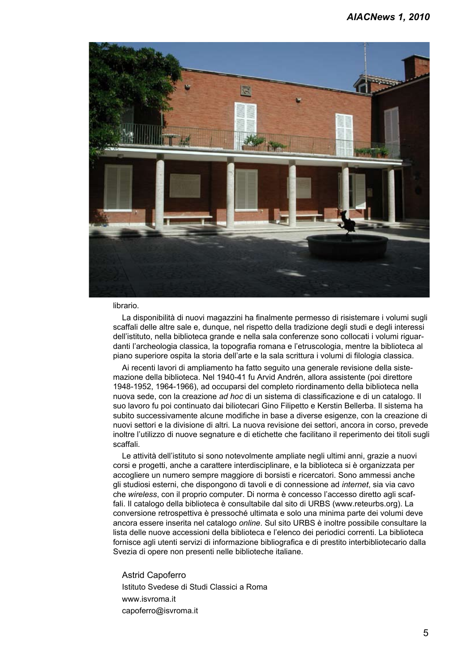

#### librario.

La disponibilità di nuovi magazzini ha finalmente permesso di risistemare i volumi sugli scaffali delle altre sale e, dunque, nel rispetto della tradizione degli studi e degli interessi dell'istituto, nella biblioteca grande e nella sala conferenze sono collocati i volumi riguardanti l'archeologia classica, la topografia romana e l'etruscologia, mentre la biblioteca al piano superiore ospita la storia dell'arte e la sala scrittura i volumi di filologia classica.

Ai recenti lavori di ampliamento ha fatto seguito una generale revisione della sistemazione della biblioteca. Nel 1940-41 fu Arvid Andrén, allora assistente (poi direttore 1948-1952, 1964-1966), ad occuparsi del completo riordinamento della biblioteca nella nuova sede, con la creazione *ad hoc* di un sistema di classificazione e di un catalogo. Il suo lavoro fu poi continuato dai biliotecari Gino Filipetto e Kerstin Bellerba. Il sistema ha subito successivamente alcune modifiche in base a diverse esigenze, con la creazione di nuovi settori e la divisione di altri. La nuova revisione dei settori, ancora in corso, prevede inoltre l'utilizzo di nuove segnature e di etichette che facilitano il reperimento dei titoli sugli scaffali.

Le attività dell'istituto si sono notevolmente ampliate negli ultimi anni, grazie a nuovi corsi e progetti, anche a carattere interdisciplinare, e la biblioteca si è organizzata per accogliere un numero sempre maggiore di borsisti e ricercatori. Sono ammessi anche gli studiosi esterni, che dispongono di tavoli e di connessione ad *internet*, sia via cavo che *wireless*, con il proprio computer. Di norma è concesso l'accesso diretto agli scaffali. Il catalogo della biblioteca è consultabile dal sito di URBS (www.reteurbs.org). La conversione retrospettiva è pressoché ultimata e solo una minima parte dei volumi deve ancora essere inserita nel catalogo *online*. Sul sito URBS è inoltre possibile consultare la lista delle nuove accessioni della biblioteca e l'elenco dei periodici correnti. La biblioteca fornisce agli utenti servizi di informazione bibliografica e di prestito interbibliotecario dalla Svezia di opere non presenti nelle biblioteche italiane.

Astrid Capoferro Istituto Svedese di Studi Classici a Roma www.isvroma.it capoferro@isvroma.it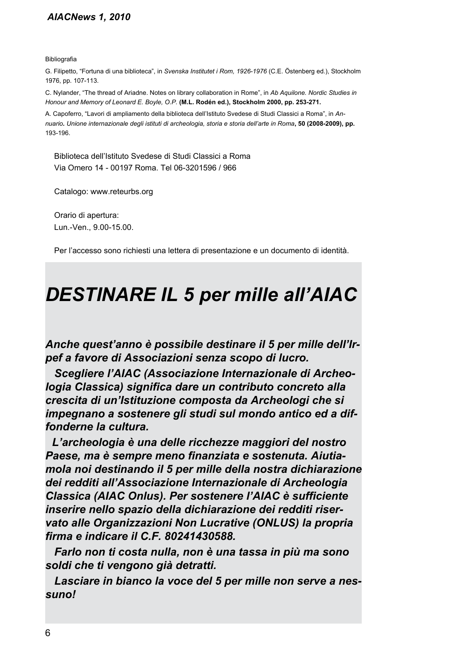#### *AIACNews 1, 2010*

Bibliografia

G. Filipetto, "Fortuna di una biblioteca", in *Svenska Institutet i Rom, 1926-1976* (C.E. Östenberg ed.), Stockholm 1976, pp. 107-113.

C. Nylander, "The thread of Ariadne. Notes on library collaboration in Rome", in *Ab Aquilone. Nordic Studies in Honour and Memory of Leonard E. Boyle, O.P.* **(M.L. Rodén ed.), Stockholm 2000, pp. 253-271.**

A. Capoferro, "Lavori di ampliamento della biblioteca dell'Istituto Svedese di Studi Classici a Roma", in *Annuario. Unione internazionale degli istituti di archeologia, storia e storia dell'arte in Roma***, 50 (2008-2009), pp.** 193-196.

Biblioteca dell'Istituto Svedese di Studi Classici a Roma Via Omero 14 - 00197 Roma. Tel 06-3201596 / 966

Catalogo: www.reteurbs.org

Orario di apertura: Lun.-Ven., 9.00-15.00.

Per l'accesso sono richiesti una lettera di presentazione e un documento di identità.

# *DESTINARE IL 5 per mille all'AIAC*

*Anche quest'anno è possibile destinare il 5 per mille dell'Irpef a favore di Associazioni senza scopo di lucro.*

*Scegliere l'AIAC (Associazione Internazionale di Archeologia Classica) significa dare un contributo concreto alla crescita di un'Istituzione composta da Archeologi che si impegnano a sostenere gli studi sul mondo antico ed a diffonderne la cultura.*

*L'archeologia è una delle ricchezze maggiori del nostro Paese, ma è sempre meno finanziata e sostenuta. Aiutiamola noi destinando il 5 per mille della nostra dichiarazione dei redditi all'Associazione Internazionale di Archeologia Classica (AIAC Onlus). Per sostenere l'AIAC è sufficiente inserire nello spazio della dichiarazione dei redditi riservato alle Organizzazioni Non Lucrative (ONLUS) la propria firma e indicare il C.F. 80241430588.*

*Farlo non ti costa nulla, non è una tassa in più ma sono soldi che ti vengono già detratti.*

*Lasciare in bianco la voce del 5 per mille non serve a nessuno!*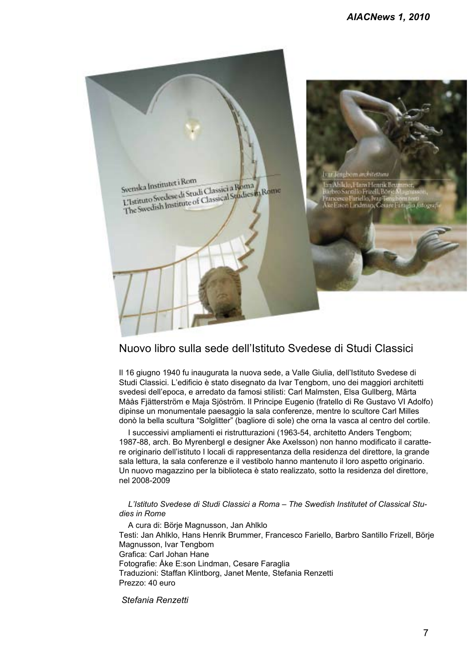

#### Nuovo libro sulla sede dell'Istituto Svedese di Studi Classici

Il 16 giugno 1940 fu inaugurata la nuova sede, a Valle Giulia, dell'Istituto Svedese di Studi Classici. L'edificio è stato disegnato da Ivar Tengbom, uno dei maggiori architetti svedesi dell'epoca, e arredato da famosi stilisti: Carl Malmsten, Elsa Gullberg, Märta Måås Fjätterström e Maja Sjöström. Il Principe Eugenio (fratello di Re Gustavo VI Adolfo) dipinse un monumentale paesaggio la sala conferenze, mentre lo scultore Carl Milles donò la bella scultura "Solglitter" (bagliore di sole) che orna la vasca al centro del cortile.

I successivi ampliamenti ei ristrutturazioni (1963-54, architetto Anders Tengbom; 1987-88, arch. Bo MyrenbergI e designer Åke Axelsson) non hanno modificato il carattere originario dell'istituto I locali di rappresentanza della residenza del direttore, la grande sala lettura, la sala conferenze e il vestibolo hanno mantenuto il loro aspetto originario. Un nuovo magazzino per la biblioteca è stato realizzato, sotto la residenza del direttore, nel 2008-2009

#### *L'Istituto Svedese di Studi Classici a Roma – The Swedish Institutet of Classical Studies in Rome*

A cura di: Börje Magnusson, Jan Ahlklo Testi: Jan Ahlklo, Hans Henrik Brummer, Francesco Fariello, Barbro Santillo Frizell, Börje Magnusson, Ivar Tengbom Grafica: Carl Johan Hane Fotografie: Åke E:son Lindman, Cesare Faraglia Traduzioni: Staffan Klintborg, Janet Mente, Stefania Renzetti Prezzo: 40 euro

#### *Stefania Renzetti*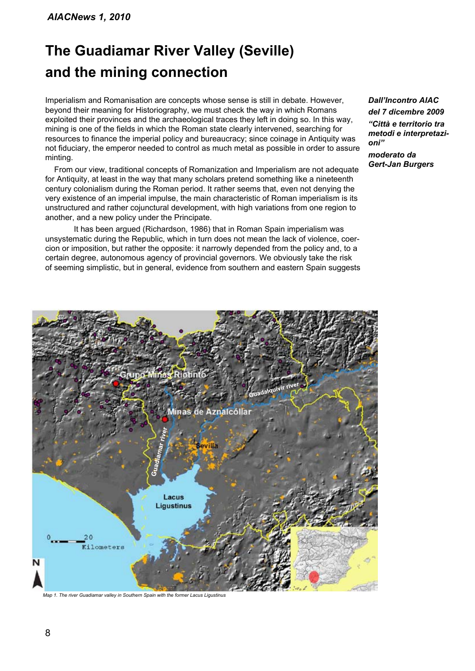# **The Guadiamar River Valley (Seville) and the mining connection**

Imperialism and Romanisation are concepts whose sense is still in debate. However, beyond their meaning for Historiography, we must check the way in which Romans exploited their provinces and the archaeological traces they left in doing so. In this way, mining is one of the fields in which the Roman state clearly intervened, searching for resources to finance the imperial policy and bureaucracy; since coinage in Antiquity was not fiduciary, the emperor needed to control as much metal as possible in order to assure minting.

From our view, traditional concepts of Romanization and Imperialism are not adequate for Antiquity, at least in the way that many scholars pretend something like a nineteenth century colonialism during the Roman period. It rather seems that, even not denying the very existence of an imperial impulse, the main characteristic of Roman imperialism is its unstructured and rather cojunctural development, with high variations from one region to another, and a new policy under the Principate.

It has been argued (Richardson, 1986) that in Roman Spain imperialism was unsystematic during the Republic, which in turn does not mean the lack of violence, coercion or imposition, but rather the opposite: it narrowly depended from the policy and, to a certain degree, autonomous agency of provincial governors. We obviously take the risk of seeming simplistic, but in general, evidence from southern and eastern Spain suggests

*Dall'Incontro AIAC del 7 dicembre 2009 "Città e territorio tra metodi e interpretazioni"*

*moderato da Gert-Jan Burgers*



*Map 1. The river Guadiamar valley in Southern Spain with the former Lacus Ligustinus*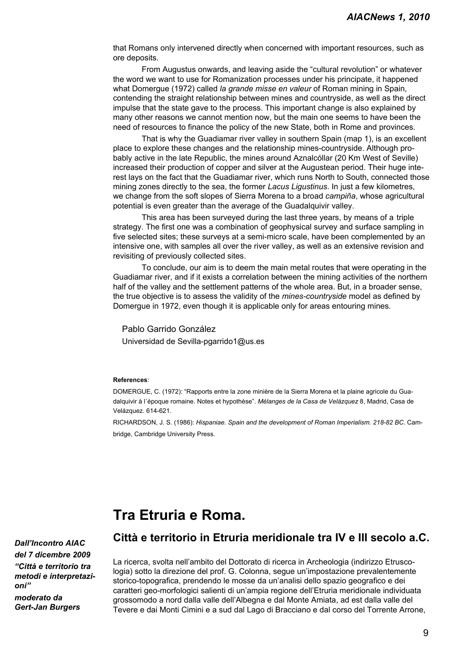that Romans only intervened directly when concerned with important resources, such as ore deposits.

From Augustus onwards, and leaving aside the "cultural revolution" or whatever the word we want to use for Romanization processes under his principate, it happened what Domergue (1972) called *la grande misse en valeur* of Roman mining in Spain, contending the straight relationship between mines and countryside, as well as the direct impulse that the state gave to the process. This important change is also explained by many other reasons we cannot mention now, but the main one seems to have been the need of resources to finance the policy of the new State, both in Rome and provinces.

That is why the Guadiamar river valley in southern Spain (map 1), is an excellent place to explore these changes and the relationship mines-countryside. Although probably active in the late Republic, the mines around Aznalcóllar (20 Km West of Seville) increased their production of copper and silver at the Augustean period. Their huge interest lays on the fact that the Guadiamar river, which runs North to South, connected those mining zones directly to the sea, the former *Lacus Ligustinus*. In just a few kilometres, we change from the soft slopes of Sierra Morena to a broad *campiña*, whose agricultural potential is even greater than the average of the Guadalquivir valley.

This area has been surveyed during the last three years, by means of a triple strategy. The first one was a combination of geophysical survey and surface sampling in five selected sites; these surveys at a semi-micro scale, have been complemented by an intensive one, with samples all over the river valley, as well as an extensive revision and revisiting of previously collected sites.

To conclude, our aim is to deem the main metal routes that were operating in the Guadiamar river, and if it exists a correlation between the mining activities of the northern half of the valley and the settlement patterns of the whole area. But, in a broader sense, the true objective is to assess the validity of the *mines-countryside* model as defined by Domergue in 1972, even though it is applicable only for areas entouring mines.

Pablo Garrido González Universidad de Sevilla-pgarrido1@us.es

#### **References**:

DOMERGUE, C. (1972): "Rapports entre la zone minière de la Sierra Morena et la plaine agricole du Guadalquivir à l´époque romaine. Notes et hypothèse". *Mélanges de la Casa de Velázquez* 8, Madrid, Casa de Velázquez. 614-621.

RICHARDSON, J. S. (1986): *Hispaniae. Spain and the development of Roman Imperialism. 218-82 BC*. Cambridge, Cambridge University Press.

### **Tra Etruria e Roma.**

*Dall'Incontro AIAC del 7 dicembre 2009 "Città e territorio tra metodi e interpretazioni" moderato da Gert-Jan Burgers*

#### **Città e territorio in Etruria meridionale tra IV e III secolo a.C.**

La ricerca, svolta nell'ambito del Dottorato di ricerca in Archeologia (indirizzo Etruscologia) sotto la direzione del prof. G. Colonna, segue un'impostazione prevalentemente storico-topografica, prendendo le mosse da un'analisi dello spazio geografico e dei caratteri geo-morfologici salienti di un'ampia regione dell'Etruria meridionale individuata grossomodo a nord dalla valle dell'Albegna e dal Monte Amiata, ad est dalla valle del Tevere e dai Monti Cimini e a sud dal Lago di Bracciano e dal corso del Torrente Arrone,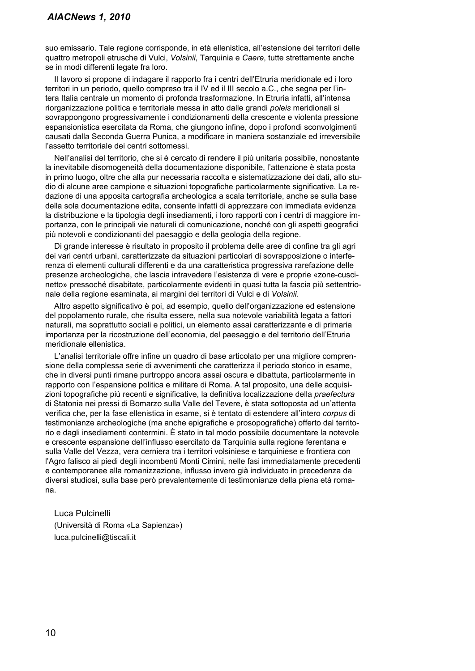suo emissario. Tale regione corrisponde, in età ellenistica, all'estensione dei territori delle quattro metropoli etrusche di Vulci, *Volsinii*, Tarquinia e *Caere*, tutte strettamente anche se in modi differenti legate fra loro.

Il lavoro si propone di indagare il rapporto fra i centri dell'Etruria meridionale ed i loro territori in un periodo, quello compreso tra il IV ed il III secolo a.C., che segna per l'intera Italia centrale un momento di profonda trasformazione. In Etruria infatti, all'intensa riorganizzazione politica e territoriale messa in atto dalle grandi *poleis* meridionali si sovrappongono progressivamente i condizionamenti della crescente e violenta pressione espansionistica esercitata da Roma, che giungono infine, dopo i profondi sconvolgimenti causati dalla Seconda Guerra Punica, a modificare in maniera sostanziale ed irreversibile l'assetto territoriale dei centri sottomessi.

Nell'analisi del territorio, che si è cercato di rendere il più unitaria possibile, nonostante la inevitabile disomogeneità della documentazione disponibile, l'attenzione è stata posta in primo luogo, oltre che alla pur necessaria raccolta e sistematizzazione dei dati, allo studio di alcune aree campione e situazioni topografiche particolarmente significative. La redazione di una apposita cartografia archeologica a scala territoriale, anche se sulla base della sola documentazione edita, consente infatti di apprezzare con immediata evidenza la distribuzione e la tipologia degli insediamenti, i loro rapporti con i centri di maggiore importanza, con le principali vie naturali di comunicazione, nonché con gli aspetti geografici più notevoli e condizionanti del paesaggio e della geologia della regione.

Di grande interesse è risultato in proposito il problema delle aree di confine tra gli agri dei vari centri urbani, caratterizzate da situazioni particolari di sovrapposizione o interferenza di elementi culturali differenti e da una caratteristica progressiva rarefazione delle presenze archeologiche, che lascia intravedere l'esistenza di vere e proprie «zone-cuscinetto» pressoché disabitate, particolarmente evidenti in quasi tutta la fascia più settentrionale della regione esaminata, ai margini dei territori di Vulci e di *Volsinii*.

Altro aspetto significativo è poi, ad esempio, quello dell'organizzazione ed estensione del popolamento rurale, che risulta essere, nella sua notevole variabilità legata a fattori naturali, ma soprattutto sociali e politici, un elemento assai caratterizzante e di primaria importanza per la ricostruzione dell'economia, del paesaggio e del territorio dell'Etruria meridionale ellenistica.

L'analisi territoriale offre infine un quadro di base articolato per una migliore comprensione della complessa serie di avvenimenti che caratterizza il periodo storico in esame, che in diversi punti rimane purtroppo ancora assai oscura e dibattuta, particolarmente in rapporto con l'espansione politica e militare di Roma. A tal proposito, una delle acquisizioni topografiche più recenti e significative, la definitiva localizzazione della *praefectura* di Statonia nei pressi di Bomarzo sulla Valle del Tevere, è stata sottoposta ad un'attenta verifica che, per la fase ellenistica in esame, si è tentato di estendere all'intero *corpus* di testimonianze archeologiche (ma anche epigrafiche e prosopografiche) offerto dal territorio e dagli insediamenti contermini. È stato in tal modo possibile documentare la notevole e crescente espansione dell'influsso esercitato da Tarquinia sulla regione ferentana e sulla Valle del Vezza, vera cerniera tra i territori volsiniese e tarquiniese e frontiera con l'Agro falisco ai piedi degli incombenti Monti Cimini, nelle fasi immediatamente precedenti e contemporanee alla romanizzazione, influsso invero già individuato in precedenza da diversi studiosi, sulla base però prevalentemente di testimonianze della piena età romana.

Luca Pulcinelli

(Università di Roma «La Sapienza») luca.pulcinelli@tiscali.it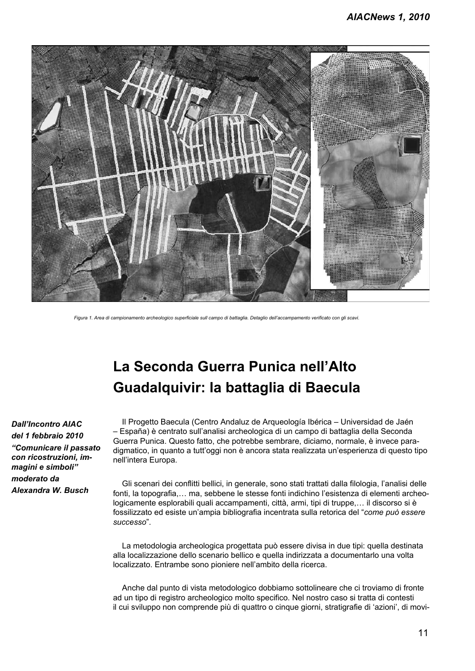

*Figura 1. Area di campionamento archeologico superficiale sull campo di battaglia. Detaglio dell'accampamento verificato con gli scavi.*

# **La Seconda Guerra Punica nell'Alto Guadalquivir: la battaglia di Baecula**

*Dall'Incontro AIAC del 1 febbraio 2010 "Comunicare il passato con ricostruzioni, immagini e simboli" moderato da Alexandra W. Busch*

Il Progetto Baecula (Centro Andaluz de Arqueología Ibérica – Universidad de Jaén – España) è centrato sull'analisi archeologica di un campo di battaglia della Seconda Guerra Punica. Questo fatto, che potrebbe sembrare, diciamo, normale, è invece paradigmatico, in quanto a tutt'oggi non è ancora stata realizzata un'esperienza di questo tipo nell'intera Europa.

Gli scenari dei conflitti bellici, in generale, sono stati trattati dalla filologia, l'analisi delle fonti, la topografia,… ma, sebbene le stesse fonti indichino l'esistenza di elementi archeologicamente esplorabili quali accampamenti, città, armi, tipi di truppe,… il discorso si è fossilizzato ed esiste un'ampia bibliografia incentrata sulla retorica del "*come può essere successo*".

La metodologia archeologica progettata può essere divisa in due tipi: quella destinata alla localizzazione dello scenario bellico e quella indirizzata a documentarlo una volta localizzato. Entrambe sono pioniere nell'ambito della ricerca.

Anche dal punto di vista metodologico dobbiamo sottolineare che ci troviamo di fronte ad un tipo di registro archeologico molto specifico. Nel nostro caso si tratta di contesti il cui sviluppo non comprende più di quattro o cinque giorni, stratigrafie di 'azioni', di movi-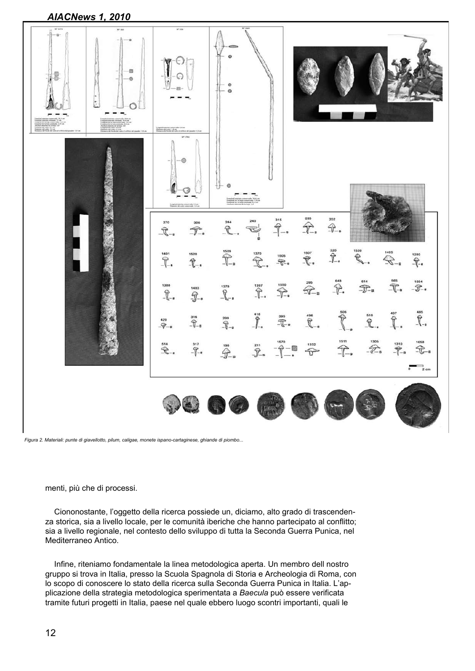

*Figura 2. Materiali: punte di giavellotto, pilum, caligae, monete ispano-cartaginese, ghiande di piombo...*

menti, più che di processi.

Ciononostante, l'oggetto della ricerca possiede un, diciamo, alto grado di trascendenza storica, sia a livello locale, per le comunità iberiche che hanno partecipato al conflitto; sia a livello regionale, nel contesto dello sviluppo di tutta la Seconda Guerra Punica, nel Mediterraneo Antico.

Infine, riteniamo fondamentale la linea metodologica aperta. Un membro dell nostro gruppo si trova in Italia, presso la Scuola Spagnola di Storia e Archeologia di Roma, con lo scopo di conoscere lo stato della ricerca sulla Seconda Guerra Punica in Italia. L'applicazione della strategia metodologica sperimentata a *Baecula* può essere verificata tramite futuri progetti in Italia, paese nel quale ebbero luogo scontri importanti, quali le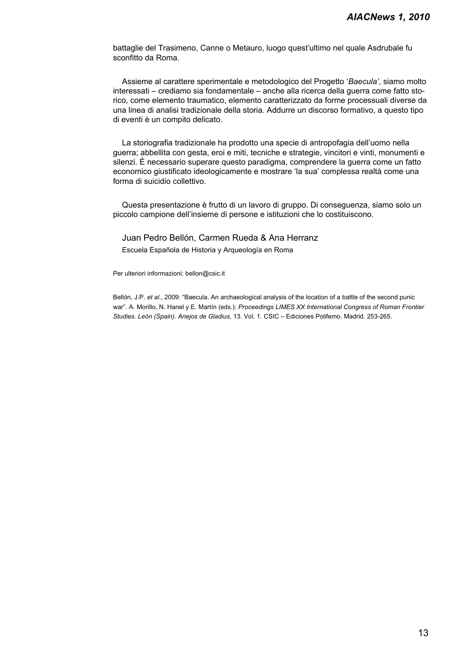battaglie del Trasimeno, Canne o Metauro, luogo quest'ultimo nel quale Asdrubale fu sconfitto da Roma.

Assieme al carattere sperimentale e metodologico del Progetto '*Baecula'*, siamo molto interessati – crediamo sia fondamentale – anche alla ricerca della guerra come fatto storico, come elemento traumatico, elemento caratterizzato da forme processuali diverse da una linea di analisi tradizionale della storia. Addurre un discorso formativo, a questo tipo di eventi è un compito delicato.

La storiografia tradizionale ha prodotto una specie di antropofagia dell'uomo nella guerra; abbellita con gesta, eroi e miti, tecniche e strategie, vincitori e vinti, monumenti e silenzi. È necessario superare questo paradigma, comprendere la guerra come un fatto economico giustificato ideologicamente e mostrare 'la sua' complessa realtà come una forma di suicidio collettivo.

Questa presentazione è frutto di un lavoro di gruppo. Di conseguenza, siamo solo un piccolo campione dell'insieme di persone e istituzioni che lo costituiscono.

Juan Pedro Bellón, Carmen Rueda & Ana Herranz

Escuela Española de Historia y Arqueología en Roma

Per ulteriori informazioni: bellon@csic.it

Bellón, J.P. *et al.*, 2009: "Baecula. An archaeological analysis of the location of a battle of the second punic war". A. Morillo, N. Hanel y E. Martín (eds.): *Proceedings LIMES XX International Congress of Roman Frontier Studies. León (Spain)*. *Anejos de Gladius,* 13. Vol. 1. CSIC – Ediciones Polifemo. Madrid. 253-265.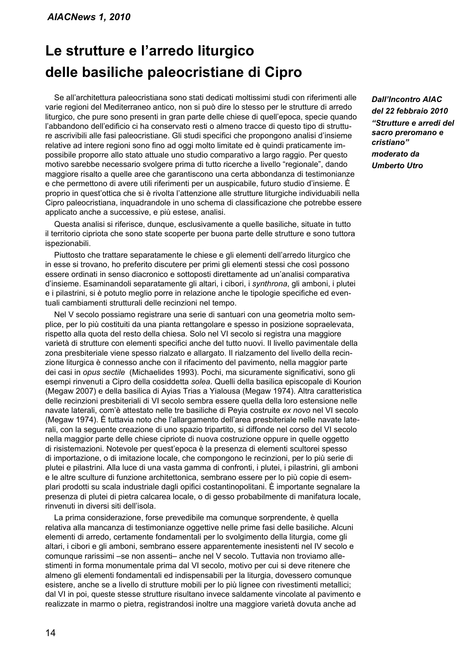## **Le strutture e l'arredo liturgico delle basiliche paleocristiane di Cipro**

Se all'architettura paleocristiana sono stati dedicati moltissimi studi con riferimenti alle varie regioni del Mediterraneo antico, non si può dire lo stesso per le strutture di arredo liturgico, che pure sono presenti in gran parte delle chiese di quell'epoca, specie quando l'abbandono dell'edificio ci ha conservato resti o almeno tracce di questo tipo di strutture ascrivibili alle fasi paleocristiane. Gli studi specifici che propongono analisi d'insieme relative ad intere regioni sono fino ad oggi molto limitate ed è quindi praticamente impossibile proporre allo stato attuale uno studio comparativo a largo raggio. Per questo motivo sarebbe necessario svolgere prima di tutto ricerche a livello "regionale", dando maggiore risalto a quelle aree che garantiscono una certa abbondanza di testimonianze e che permettono di avere utili riferimenti per un auspicabile, futuro studio d'insieme. È proprio in quest'ottica che si è rivolta l'attenzione alle strutture liturgiche individuabili nella Cipro paleocristiana, inquadrandole in uno schema di classificazione che potrebbe essere applicato anche a successive, e più estese, analisi.

Questa analisi si riferisce, dunque, esclusivamente a quelle basiliche, situate in tutto il territorio cipriota che sono state scoperte per buona parte delle strutture e sono tuttora ispezionabili.

Piuttosto che trattare separatamente le chiese e gli elementi dell'arredo liturgico che in esse si trovano, ho preferito discutere per primi gli elementi stessi che così possono essere ordinati in senso diacronico e sottoposti direttamente ad un'analisi comparativa d'insieme. Esaminandoli separatamente gli altari, i cibori, i *synthrona*, gli amboni, i plutei e i pilastrini, si è potuto meglio porre in relazione anche le tipologie specifiche ed eventuali cambiamenti strutturali delle recinzioni nel tempo.

Nel V secolo possiamo registrare una serie di santuari con una geometria molto semplice, per lo più costituiti da una pianta rettangolare e spesso in posizione sopraelevata, rispetto alla quota del resto della chiesa. Solo nel VI secolo si registra una maggiore varietà di strutture con elementi specifici anche del tutto nuovi. Il livello pavimentale della zona presbiteriale viene spesso rialzato e allargato. Il rialzamento del livello della recinzione liturgica è connesso anche con il rifacimento del pavimento, nella maggior parte dei casi in *opus sectile* (Michaelides 1993). Pochi, ma sicuramente significativi, sono gli esempi rinvenuti a Cipro della cosiddetta *solea*. Quelli della basilica episcopale di Kourion (Megaw 2007) e della basilica di Ayias Trias a Yialousa (Megaw 1974). Altra caratteristica delle recinzioni presbiteriali di VI secolo sembra essere quella della loro estensione nelle navate laterali, com'è attestato nelle tre basiliche di Peyia costruite *ex novo* nel VI secolo (Megaw 1974). È tuttavia noto che l'allargamento dell'area presbiteriale nelle navate laterali, con la seguente creazione di uno spazio tripartito, si diffonde nel corso del VI secolo nella maggior parte delle chiese cipriote di nuova costruzione oppure in quelle oggetto di risistemazioni. Notevole per quest'epoca è la presenza di elementi scultorei spesso di importazione, o di imitazione locale, che compongono le recinzioni, per lo più serie di plutei e pilastrini. Alla luce di una vasta gamma di confronti, i plutei, i pilastrini, gli amboni e le altre sculture di funzione architettonica, sembrano essere per lo più copie di esemplari prodotti su scala industriale dagli opifici costantinopolitani. È importante segnalare la presenza di plutei di pietra calcarea locale, o di gesso probabilmente di manifatura locale, rinvenuti in diversi siti dell'isola.

La prima considerazione, forse prevedibile ma comunque sorprendente, è quella relativa alla mancanza di testimonianze oggettive nelle prime fasi delle basiliche. Alcuni elementi di arredo, certamente fondamentali per lo svolgimento della liturgia, come gli altari, i cibori e gli amboni, sembrano essere apparentemente inesistenti nel IV secolo e comunque rarissimi –se non assenti– anche nel V secolo. Tuttavia non troviamo allestimenti in forma monumentale prima dal VI secolo, motivo per cui si deve ritenere che almeno gli elementi fondamentali ed indispensabili per la liturgia, dovessero comunque esistere, anche se a livello di strutture mobili per lo più lignee con rivestimenti metallici; dal VI in poi, queste stesse strutture risultano invece saldamente vincolate al pavimento e realizzate in marmo o pietra, registrandosi inoltre una maggiore varietà dovuta anche ad

*Dall'Incontro AIAC del 22 febbraio 2010 "Strutture e arredi del sacro preromano e cristiano" moderato da Umberto Utro*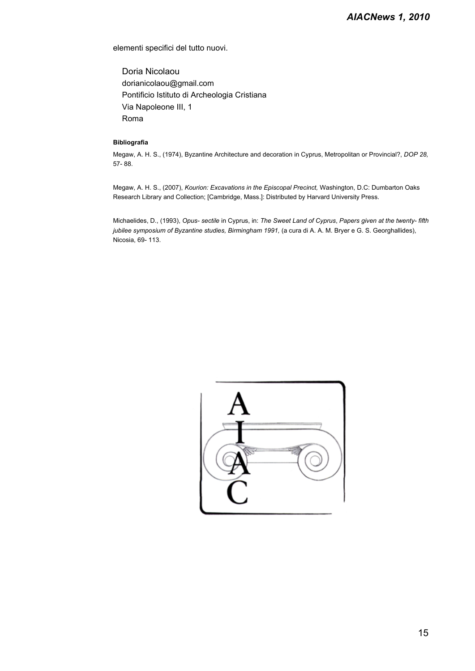elementi specifici del tutto nuovi.

Doria Nicolaou dorianicolaou@gmail.com Pontificio Istituto di Archeologia Cristiana Via Napoleone III, 1 Roma

#### **Bibliografia**

Megaw, A. H. S., (1974), Byzantine Architecture and decoration in Cyprus, Metropolitan or Provincial?, *DOP 28,*  57- 88.

Megaw, A. H. S., (2007), *Kourion: Excavations in the Episcopal Precinct,* Washington, D.C: Dumbarton Oaks Research Library and Collection; [Cambridge, Mass.]: Distributed by Harvard University Press.

Michaelides, D., (1993), *Opus- sectile* in Cyprus, in: *The Sweet Land of Cyprus*, *Papers given at the twenty- fifth jubilee symposium of Byzantine studies, Birmingham 1991, (a cura di A. A. M. Bryer e G. S. Georghallides),* Nicosia, 69- 113.